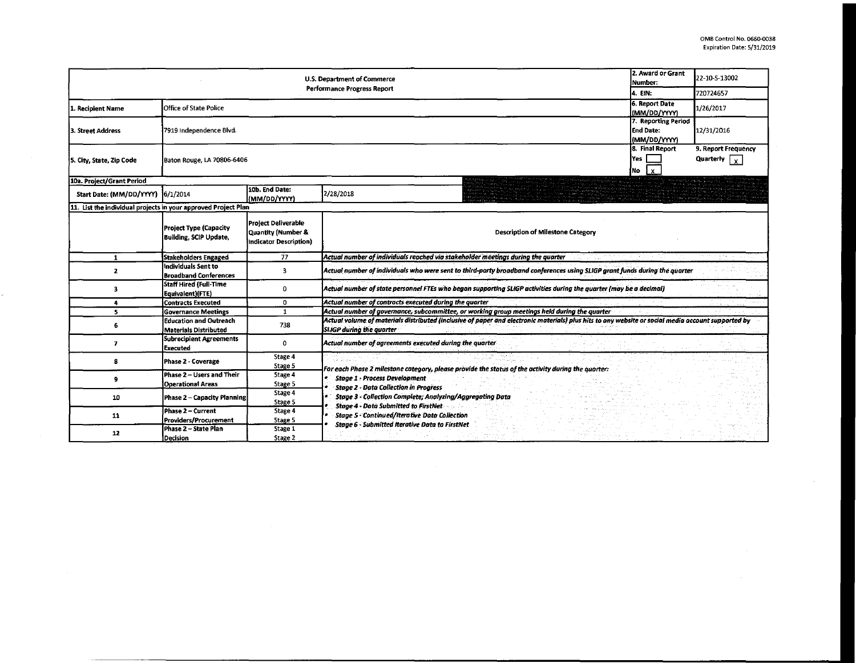| 2. Award or Grant<br>U.S. Department of Commerce<br>Number:<br><b>Performance Progress Report</b><br>4. EIN: |                                                                |                                                                            |                                                                                                                                                                                       |                                                                     | 22-10-S-13002                               |
|--------------------------------------------------------------------------------------------------------------|----------------------------------------------------------------|----------------------------------------------------------------------------|---------------------------------------------------------------------------------------------------------------------------------------------------------------------------------------|---------------------------------------------------------------------|---------------------------------------------|
|                                                                                                              |                                                                |                                                                            |                                                                                                                                                                                       |                                                                     | 720724657                                   |
| 1. Recipient Name                                                                                            | Office of State Police                                         |                                                                            |                                                                                                                                                                                       | 6. Report Date<br>(MM/DD/YYYY)                                      | 1/26/2017                                   |
| 3. Street Address                                                                                            | 7919 Independence Blvd.                                        |                                                                            |                                                                                                                                                                                       | 7. Reporting Period<br>End Date:<br>(MM/DD/YYYY)<br>8. Final Report | 12/31/2016                                  |
| 5. City, State, Zip Code                                                                                     | Baton Rouge, LA 70806-6406<br>ÍNo.                             |                                                                            |                                                                                                                                                                                       |                                                                     | 9. Report Frequency<br>Quarterly $\sqrt{x}$ |
| 10a. Project/Grant Period                                                                                    |                                                                |                                                                            |                                                                                                                                                                                       |                                                                     |                                             |
| Start Date: (MM/DD/YYYY) 6/1/2014                                                                            |                                                                | 10b. End Date:<br>(MM/DD/YYYY                                              | 2/28/2018                                                                                                                                                                             |                                                                     |                                             |
| 11. List the individual projects in your approved Project Plan                                               |                                                                |                                                                            |                                                                                                                                                                                       |                                                                     |                                             |
|                                                                                                              | <b>Project Type (Capacity</b><br><b>Building, SCIP Update,</b> | <b>Project Deliverable</b><br>Quantity (Number &<br>Indicator Description) | <b>Description of Milestone Category</b>                                                                                                                                              |                                                                     |                                             |
| 1                                                                                                            | Stakeholders Engaged                                           | 77                                                                         | Actual number of individuals reached via stakeholder meetings during the quarter                                                                                                      |                                                                     |                                             |
| 2                                                                                                            | Individuals Sent to<br><b>Broadband Conferences</b>            | 3                                                                          | Actual number of individuals who were sent to third-party broadband conferences using SLIGP grant funds during the quarter                                                            |                                                                     |                                             |
| з                                                                                                            | <b>Staff Hired (Full-Time</b><br>Equivalent)(FTE)              | 0                                                                          | Actual number of state personnel FTEs who began supporting SLIGP activities during the quarter (may be a decimal)                                                                     |                                                                     |                                             |
| 4                                                                                                            | <b>Contracts Executed</b>                                      | 0                                                                          | Actual number of contracts executed during the quarter                                                                                                                                |                                                                     |                                             |
| 5                                                                                                            | <b>Governance Meetings</b>                                     | $\mathbf{1}$                                                               | Actual number of governance, subcommittee, or working group meetings held during the quarter                                                                                          |                                                                     |                                             |
| 6                                                                                                            | <b>Education and Outreach</b><br><b>Materials Distributed</b>  | 738                                                                        | Actual volume of materials distributed (inclusive of paper and electronic materials) plus hits to any website or social media account supported by<br><b>SLIGP during the quarter</b> |                                                                     |                                             |
| $\overline{\phantom{a}}$                                                                                     | <b>Subrecipient Agreements</b><br><b>Executed</b>              | $\Omega$                                                                   | Actual number of agreements executed during the quarter                                                                                                                               |                                                                     |                                             |
| 8                                                                                                            | Phase 2 - Coverage                                             | Stage 4<br>Stage 5                                                         | For each Phase 2 milestone category, please provide the status of the activity during the quarter:                                                                                    |                                                                     |                                             |
| $\cdot$                                                                                                      | Phase 2 - Users and Their<br><b>Operational Areas</b>          | Stage 4<br>Stage 5                                                         | <b>Stage 1 - Process Development</b><br><b>Stage 2 - Data Collection in Progress</b>                                                                                                  |                                                                     |                                             |
| 10                                                                                                           | <b>Phase 2 - Capacity Planning</b>                             | Stage 4<br>Stage 5                                                         | Stage 3 - Collection Complete; Analyzing/Aggregating Data                                                                                                                             |                                                                     |                                             |
| 11                                                                                                           | Phase 2 - Current<br>Providers/Procurement                     | Stage 4<br>Stage 5                                                         | <b>Stage 4 - Data Submitted to FirstNet</b><br>Stage 5 - Continued/Iterative Data Collection                                                                                          |                                                                     |                                             |
| 12                                                                                                           | Phase 2 - State Plan<br>Decision                               | Stage 1<br>Stage 2                                                         | Stage 6 - Submitted Iterative Data to FirstNet                                                                                                                                        |                                                                     |                                             |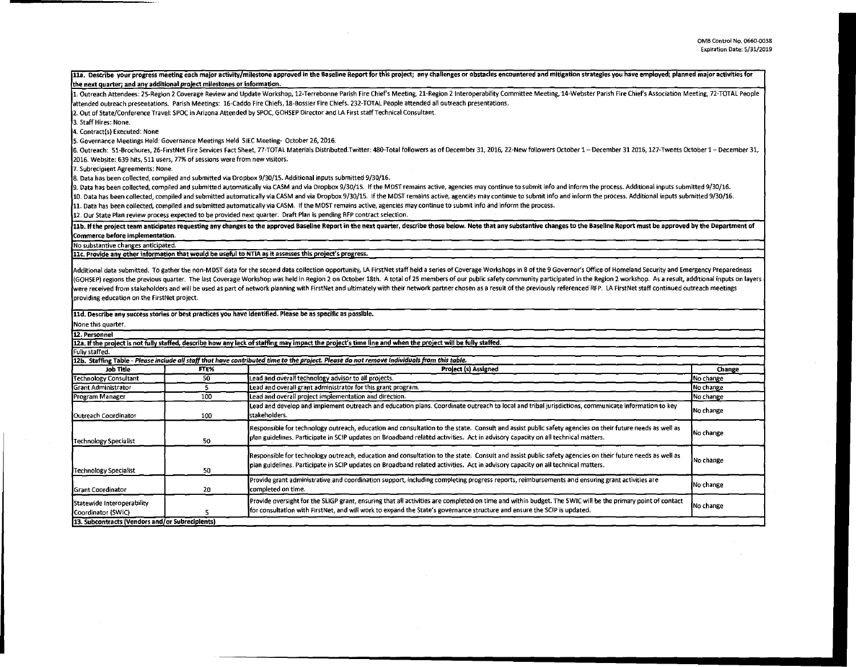$\sim$ 

|                                                                             |                                                                                                                                                                                                                                | 11a. Describe your progress meeting each major activity/milestone approved in the Baseline Report for this project; any challenges or obstacles encountered and mitigation strategies you have employed; planned major activit |           |  |  |  |  |  |
|-----------------------------------------------------------------------------|--------------------------------------------------------------------------------------------------------------------------------------------------------------------------------------------------------------------------------|--------------------------------------------------------------------------------------------------------------------------------------------------------------------------------------------------------------------------------|-----------|--|--|--|--|--|
| the next quarter; and any additional project milestones or information.     |                                                                                                                                                                                                                                |                                                                                                                                                                                                                                |           |  |  |  |  |  |
|                                                                             | 1. Outreach Attendees: 25-Region 2 Coverage Review and Update Workshop, 12-Terrebonne Parish Fire Chief's Meeting, 21-Region 2 Interoperability Committee Meeting, 14-Webster Parish Fire Chief's Association Meeting, 72-TOTA |                                                                                                                                                                                                                                |           |  |  |  |  |  |
|                                                                             |                                                                                                                                                                                                                                | attended outreach presentations. Parish Meetings: 16-Caddo Fire Chiefs, 18-Bossier Fire Chiefs. 232-TOTAL People attended all outreach presentations.                                                                          |           |  |  |  |  |  |
|                                                                             |                                                                                                                                                                                                                                | 2. Out of State/Conference Travel: SPOC in Arizona Attended by SPOC, GOHSEP Director and LA First staff Technical Consultant.                                                                                                  |           |  |  |  |  |  |
| 3. Staff Hires: None.                                                       |                                                                                                                                                                                                                                |                                                                                                                                                                                                                                |           |  |  |  |  |  |
| 4. Contract(s) Executed: None                                               |                                                                                                                                                                                                                                |                                                                                                                                                                                                                                |           |  |  |  |  |  |
|                                                                             |                                                                                                                                                                                                                                | 5. Governance Meetings Held: Governance Meetings Held SIEC Meeting- October 26, 2016.                                                                                                                                          |           |  |  |  |  |  |
|                                                                             |                                                                                                                                                                                                                                | 6. Outreach: 51-Brochures, 26-FirstNet Fire Services Fact Sheet, 77-TOTAL Materials Distributed.Twitter: 480-Total followers as of December 31, 2016, 22-New followers October 1 - December 31 2016, 127-Tweets October 1 - De |           |  |  |  |  |  |
| 2016. Website: 639 hits, 511 users, 77% of sessions were from new visitors. |                                                                                                                                                                                                                                |                                                                                                                                                                                                                                |           |  |  |  |  |  |
| 7. Subrecipient Agreements: None.                                           |                                                                                                                                                                                                                                |                                                                                                                                                                                                                                |           |  |  |  |  |  |
|                                                                             |                                                                                                                                                                                                                                | 8. Data has been collected, compiled and submitted via Dropbox 9/30/15. Additional inputs submitted 9/30/16.                                                                                                                   |           |  |  |  |  |  |
|                                                                             |                                                                                                                                                                                                                                | 9. Data has been collected, compiled and submitted automatically via CASM and via Dropbox 9/30/15. If the MDST remains active, agencies may continue to submit info and inform the process. Additional inputs submitted 9/30/1 |           |  |  |  |  |  |
|                                                                             |                                                                                                                                                                                                                                | 10. Data has been collected, compiled and submitted automatically via CASM and via Dropbox 9/30/15. If the MDST remains active, agencies may continue to submit info and inform the process. Additional inputs submitted 9/30/ |           |  |  |  |  |  |
|                                                                             |                                                                                                                                                                                                                                | 11. Data has been collected, compiled and submitted automatically via CASM. If the MDST remains active, agencies may continue to submit info and inform the process.                                                           |           |  |  |  |  |  |
|                                                                             |                                                                                                                                                                                                                                | 12. Our State Plan review process expected to be provided next quarter. Draft Plan is pending RFP contract selection.                                                                                                          |           |  |  |  |  |  |
| Commerce before implementation.                                             |                                                                                                                                                                                                                                | 11b. If the project team anticipates requesting any changes to the approved Baseline Report in the next quarter, describe those below. Note that any substantive changes to the Baseline Report must be approved by the Depart |           |  |  |  |  |  |
| No substantive changes anticipated.                                         |                                                                                                                                                                                                                                |                                                                                                                                                                                                                                |           |  |  |  |  |  |
|                                                                             |                                                                                                                                                                                                                                | 11c, Provide any other information that would be useful to NTIA as it assesses this project's progress.                                                                                                                        |           |  |  |  |  |  |
|                                                                             |                                                                                                                                                                                                                                |                                                                                                                                                                                                                                |           |  |  |  |  |  |
|                                                                             |                                                                                                                                                                                                                                | Additional data submitted. To gather the non-MDST data for the second data collection opportunity, LA FirstNet staff held a series of Coverage Workshops in 8 of the 9 Governor's Office of Homeland Security and Emergency Pr |           |  |  |  |  |  |
|                                                                             |                                                                                                                                                                                                                                | (GOHSEP) regions the previous quarter. The last Coverage Workshop was held in Region 2 on October 18th. A total of 25 members of our public safety community participated in the Region 2 workshop. As a result, additional in |           |  |  |  |  |  |
|                                                                             |                                                                                                                                                                                                                                | were received from stakeholders and will be used as part of network planning with FirstNet and ultimately with their network partner chosen as a result of the previously referenced RFP. LA FirstNet staff continued outreach |           |  |  |  |  |  |
| providing education on the FirstNet project.                                |                                                                                                                                                                                                                                |                                                                                                                                                                                                                                |           |  |  |  |  |  |
|                                                                             |                                                                                                                                                                                                                                |                                                                                                                                                                                                                                |           |  |  |  |  |  |
|                                                                             |                                                                                                                                                                                                                                | 11d. Describe any success stories or best practices you have identified. Please be as specific as possible.                                                                                                                    |           |  |  |  |  |  |
| None this quarter.                                                          |                                                                                                                                                                                                                                |                                                                                                                                                                                                                                |           |  |  |  |  |  |
| 12. Personnel                                                               |                                                                                                                                                                                                                                |                                                                                                                                                                                                                                |           |  |  |  |  |  |
|                                                                             |                                                                                                                                                                                                                                | 12a, If the project is not fully staffed, describe how any lack of staffing may impact the project's time line and when the project will be fully staffed.                                                                     |           |  |  |  |  |  |
| Fully staffed.                                                              |                                                                                                                                                                                                                                |                                                                                                                                                                                                                                |           |  |  |  |  |  |
|                                                                             |                                                                                                                                                                                                                                | 12b. Staffing Table - Please include all staff that have contributed time to the project. Please do not remove individuals from this table.                                                                                    |           |  |  |  |  |  |
| Job Title                                                                   | FTE%                                                                                                                                                                                                                           | Project (s) Assigned                                                                                                                                                                                                           | Change    |  |  |  |  |  |
| <b>Technology Consultant</b>                                                | 50                                                                                                                                                                                                                             | Lead and overall technology advisor to all projects.                                                                                                                                                                           | No change |  |  |  |  |  |
| <b>Grant Administrator</b>                                                  | $\overline{\mathbf{5}}$                                                                                                                                                                                                        | Lead and overall grant administrator for this grant program.                                                                                                                                                                   | No change |  |  |  |  |  |
| Program Manager                                                             | 100                                                                                                                                                                                                                            | Lead and overall project implementation and direction.                                                                                                                                                                         | No change |  |  |  |  |  |
|                                                                             |                                                                                                                                                                                                                                | Lead and develop and implement outreach and education plans. Coordinate outreach to local and tribal jurisdictions, communicate information to key                                                                             | No change |  |  |  |  |  |
| Outreach Coordinator                                                        | 100                                                                                                                                                                                                                            | 'stakeholders.                                                                                                                                                                                                                 |           |  |  |  |  |  |
|                                                                             |                                                                                                                                                                                                                                | Responsible for technology outreach, education and consultation to the state. Consult and assist public safety agencies on their future needs as well as                                                                       |           |  |  |  |  |  |
|                                                                             | 50                                                                                                                                                                                                                             | plan guidelines. Participate in SCIP updates on Broadband related activities. Act in advisory capacity on all technical matters.                                                                                               | No change |  |  |  |  |  |
| <b>Technology Specialist</b>                                                |                                                                                                                                                                                                                                |                                                                                                                                                                                                                                |           |  |  |  |  |  |
|                                                                             |                                                                                                                                                                                                                                | Responsible for technology outreach, education and consultation to the state. Consult and assist public safety agencies on their future needs as well as                                                                       |           |  |  |  |  |  |
|                                                                             |                                                                                                                                                                                                                                | plan guidelines. Participate in SCIP updates on Broadband related activities. Act in advisory capacity on all technical matters.                                                                                               | No change |  |  |  |  |  |
| <b>Technology Specialist</b>                                                | 50                                                                                                                                                                                                                             |                                                                                                                                                                                                                                |           |  |  |  |  |  |
|                                                                             |                                                                                                                                                                                                                                | Provide grant administrative and coordination support, including completing progress reports, reimbursements and ensuring grant activities are                                                                                 | No change |  |  |  |  |  |
| <b>Grant Coordinator</b>                                                    | 20                                                                                                                                                                                                                             | completed on time.                                                                                                                                                                                                             |           |  |  |  |  |  |
| Statewide Interoperability                                                  |                                                                                                                                                                                                                                | Provide oversight for the SLIGP grant, ensuring that all activities are completed on time and within budget. The SWIC will be the primary point of contact                                                                     |           |  |  |  |  |  |
| Coordinator (SWIC)                                                          | 5                                                                                                                                                                                                                              | for consultation with FirstNet, and will work to expand the State's governance structure and ensure the SCIP is updated.                                                                                                       | No change |  |  |  |  |  |
| 13. Subcontracts (Vendors and/or Subrecipients)                             |                                                                                                                                                                                                                                |                                                                                                                                                                                                                                |           |  |  |  |  |  |
|                                                                             |                                                                                                                                                                                                                                |                                                                                                                                                                                                                                |           |  |  |  |  |  |